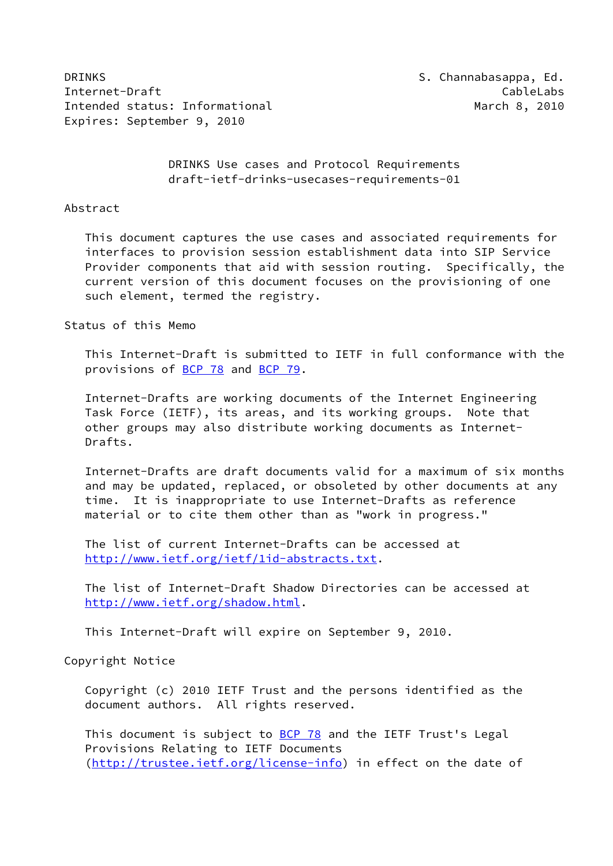DRINKS **S. Channabasappa, Ed.** S. Channabasappa, Ed. Internet-Draft CableLabs Intended status: Informational and March 8, 2010 Expires: September 9, 2010

 DRINKS Use cases and Protocol Requirements draft-ietf-drinks-usecases-requirements-01

### Abstract

 This document captures the use cases and associated requirements for interfaces to provision session establishment data into SIP Service Provider components that aid with session routing. Specifically, the current version of this document focuses on the provisioning of one such element, termed the registry.

Status of this Memo

 This Internet-Draft is submitted to IETF in full conformance with the provisions of [BCP 78](https://datatracker.ietf.org/doc/pdf/bcp78) and [BCP 79](https://datatracker.ietf.org/doc/pdf/bcp79).

 Internet-Drafts are working documents of the Internet Engineering Task Force (IETF), its areas, and its working groups. Note that other groups may also distribute working documents as Internet- Drafts.

 Internet-Drafts are draft documents valid for a maximum of six months and may be updated, replaced, or obsoleted by other documents at any time. It is inappropriate to use Internet-Drafts as reference material or to cite them other than as "work in progress."

 The list of current Internet-Drafts can be accessed at <http://www.ietf.org/ietf/1id-abstracts.txt>.

 The list of Internet-Draft Shadow Directories can be accessed at <http://www.ietf.org/shadow.html>.

This Internet-Draft will expire on September 9, 2010.

Copyright Notice

 Copyright (c) 2010 IETF Trust and the persons identified as the document authors. All rights reserved.

This document is subject to **[BCP 78](https://datatracker.ietf.org/doc/pdf/bcp78)** and the IETF Trust's Legal Provisions Relating to IETF Documents [\(http://trustee.ietf.org/license-info](http://trustee.ietf.org/license-info)) in effect on the date of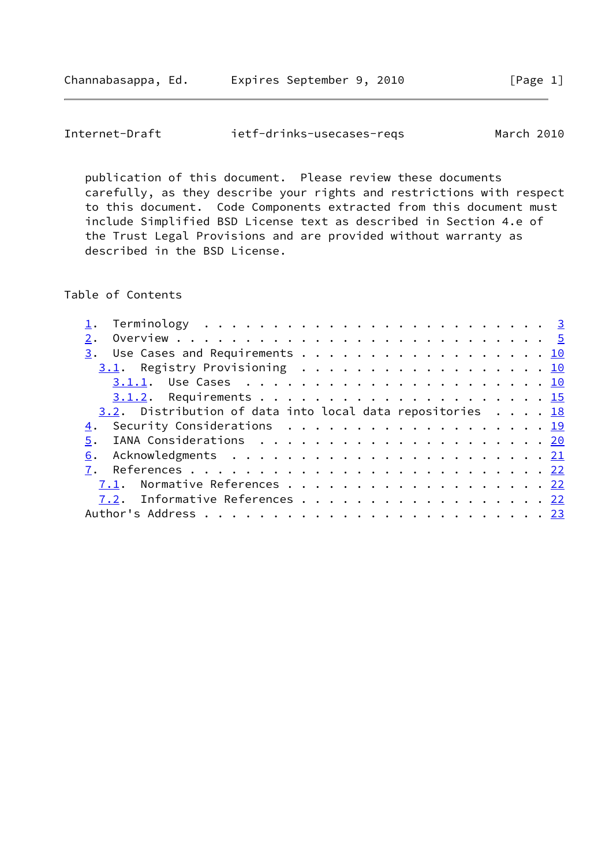| Internet-Draft | ietf-drinks-usecases-regs | March 2010 |
|----------------|---------------------------|------------|
|----------------|---------------------------|------------|

 publication of this document. Please review these documents carefully, as they describe your rights and restrictions with respect to this document. Code Components extracted from this document must include Simplified BSD License text as described in Section 4.e of the Trust Legal Provisions and are provided without warranty as described in the BSD License.

## Table of Contents

| $\underline{3.1}$ . Registry Provisioning 10                 |  |  |
|--------------------------------------------------------------|--|--|
|                                                              |  |  |
|                                                              |  |  |
| $3.2$ . Distribution of data into local data repositories 18 |  |  |
| 4. Security Considerations 19                                |  |  |
| 5.                                                           |  |  |
| 6.                                                           |  |  |
|                                                              |  |  |
| 7.1. Normative References 22                                 |  |  |
| 7.2. Informative References 22                               |  |  |
|                                                              |  |  |
|                                                              |  |  |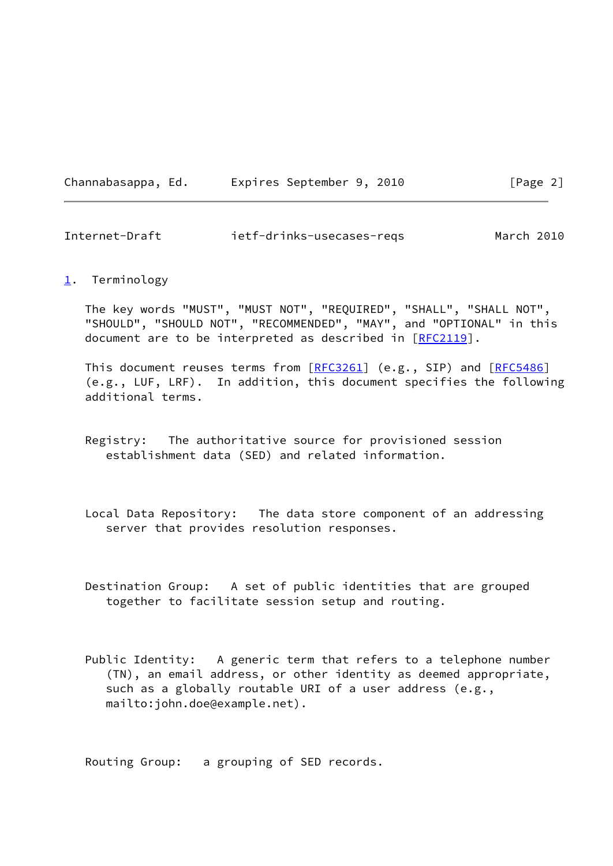|  | Channabasappa, Ed. |  |  | Expires September 9, 2010 |  |  |
|--|--------------------|--|--|---------------------------|--|--|
|--|--------------------|--|--|---------------------------|--|--|

## $[Page 2]$

<span id="page-2-1"></span>Internet-Draft ietf-drinks-usecases-reqs March 2010

#### <span id="page-2-0"></span>[1](#page-2-0). Terminology

 The key words "MUST", "MUST NOT", "REQUIRED", "SHALL", "SHALL NOT", "SHOULD", "SHOULD NOT", "RECOMMENDED", "MAY", and "OPTIONAL" in this document are to be interpreted as described in [\[RFC2119](https://datatracker.ietf.org/doc/pdf/rfc2119)].

This document reuses terms from [\[RFC3261](https://datatracker.ietf.org/doc/pdf/rfc3261)] (e.g., SIP) and [[RFC5486](https://datatracker.ietf.org/doc/pdf/rfc5486)] (e.g., LUF, LRF). In addition, this document specifies the following additional terms.

 Registry: The authoritative source for provisioned session establishment data (SED) and related information.

 Local Data Repository: The data store component of an addressing server that provides resolution responses.

 Destination Group: A set of public identities that are grouped together to facilitate session setup and routing.

 Public Identity: A generic term that refers to a telephone number (TN), an email address, or other identity as deemed appropriate, such as a globally routable URI of a user address (e.g., mailto:john.doe@example.net).

Routing Group: a grouping of SED records.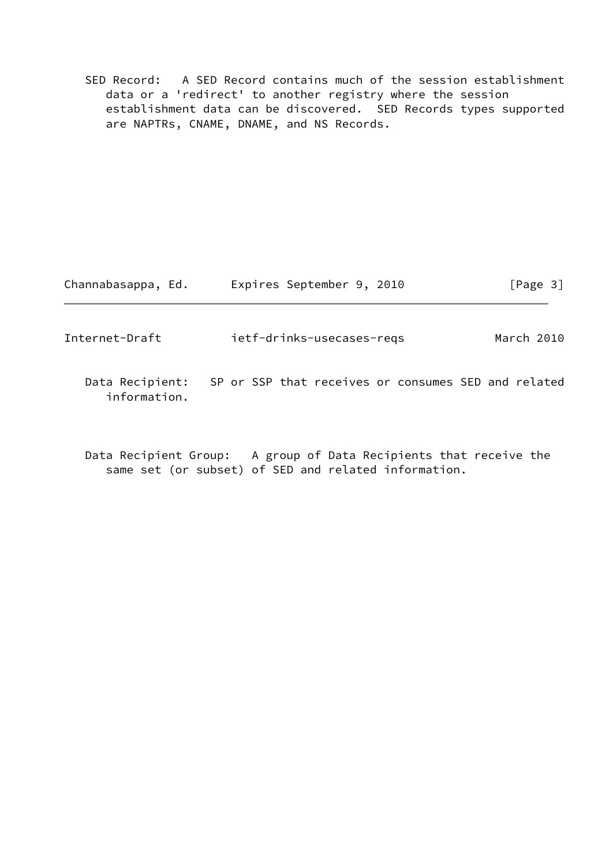SED Record: A SED Record contains much of the session establishment data or a 'redirect' to another registry where the session establishment data can be discovered. SED Records types supported are NAPTRs, CNAME, DNAME, and NS Records.

| Channabasappa, Ed. |  |  | Expires September 9, 2010 |  |  | [Page 3] |  |  |
|--------------------|--|--|---------------------------|--|--|----------|--|--|
|--------------------|--|--|---------------------------|--|--|----------|--|--|

Internet-Draft ietf-drinks-usecases-reqs March 2010

- Data Recipient: SP or SSP that receives or consumes SED and related information.
- Data Recipient Group: A group of Data Recipients that receive the same set (or subset) of SED and related information.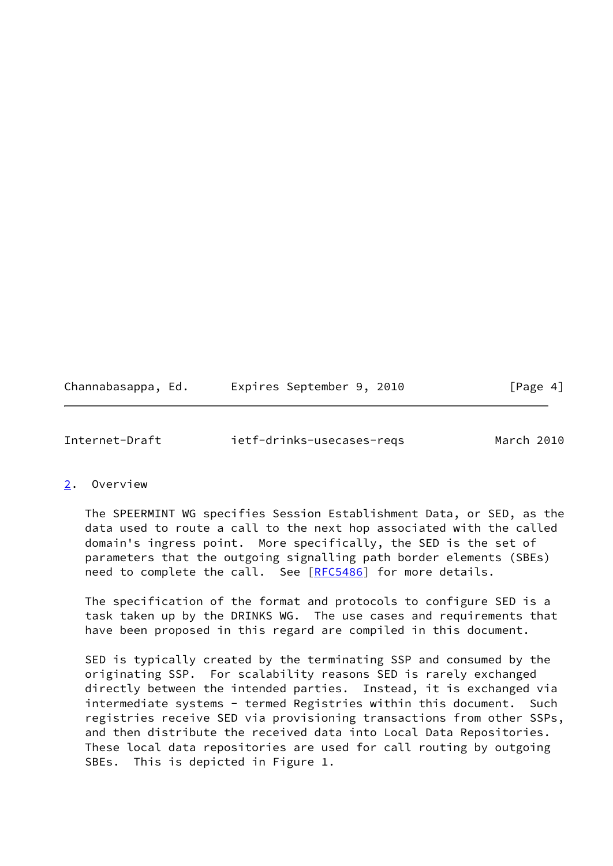| Channabasappa, Ed. |  |  | Expires September 9, 2010 |  |  |  | [Page 4] |  |
|--------------------|--|--|---------------------------|--|--|--|----------|--|
|--------------------|--|--|---------------------------|--|--|--|----------|--|

<span id="page-4-1"></span>

| Internet-Draft | ietf-drinks-usecases-regs | March 2010 |
|----------------|---------------------------|------------|

<span id="page-4-0"></span>[2](#page-4-0). Overview

 The SPEERMINT WG specifies Session Establishment Data, or SED, as the data used to route a call to the next hop associated with the called domain's ingress point. More specifically, the SED is the set of parameters that the outgoing signalling path border elements (SBEs) need to complete the call. See [\[RFC5486](https://datatracker.ietf.org/doc/pdf/rfc5486)] for more details.

 The specification of the format and protocols to configure SED is a task taken up by the DRINKS WG. The use cases and requirements that have been proposed in this regard are compiled in this document.

 SED is typically created by the terminating SSP and consumed by the originating SSP. For scalability reasons SED is rarely exchanged directly between the intended parties. Instead, it is exchanged via intermediate systems - termed Registries within this document. Such registries receive SED via provisioning transactions from other SSPs, and then distribute the received data into Local Data Repositories. These local data repositories are used for call routing by outgoing SBEs. This is depicted in Figure 1.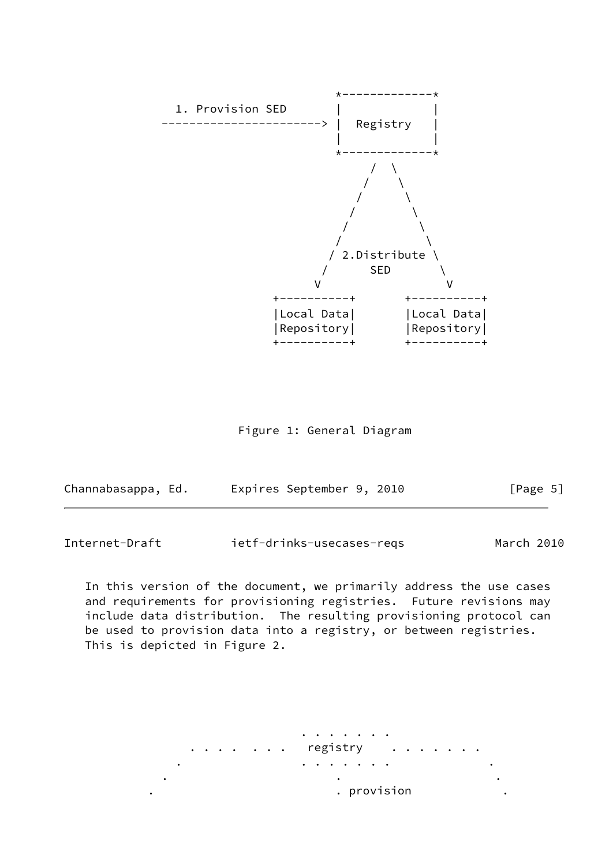

Figure 1: General Diagram

| Channabasappa, Ed. | Expires September 9, 2010 | [Page $5$ ] |
|--------------------|---------------------------|-------------|
| Internet-Draft     | ietf-drinks-usecases-regs | March 2010  |

 In this version of the document, we primarily address the use cases and requirements for provisioning registries. Future revisions may include data distribution. The resulting provisioning protocol can be used to provision data into a registry, or between registries. This is depicted in Figure 2.

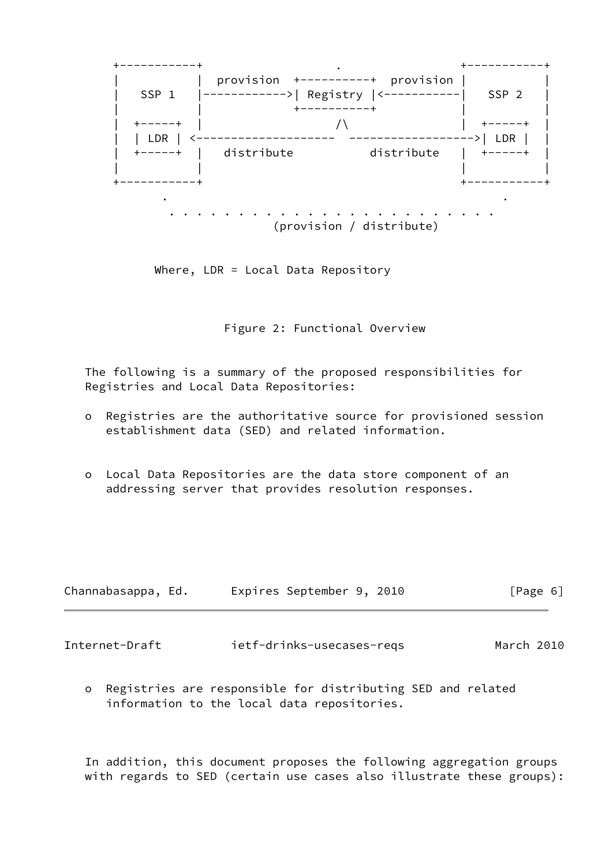

Where, LDR = Local Data Repository

Figure 2: Functional Overview

 The following is a summary of the proposed responsibilities for Registries and Local Data Repositories:

- o Registries are the authoritative source for provisioned session establishment data (SED) and related information.
- o Local Data Repositories are the data store component of an addressing server that provides resolution responses.

| Channabasappa, Ed. | Expires September 9, 2010 | $\lceil \text{Page } 6 \rceil$ |
|--------------------|---------------------------|--------------------------------|
|                    |                           |                                |
| Internet-Draft     | ietf-drinks-usecases-regs | March 2010                     |

 o Registries are responsible for distributing SED and related information to the local data repositories.

 In addition, this document proposes the following aggregation groups with regards to SED (certain use cases also illustrate these groups):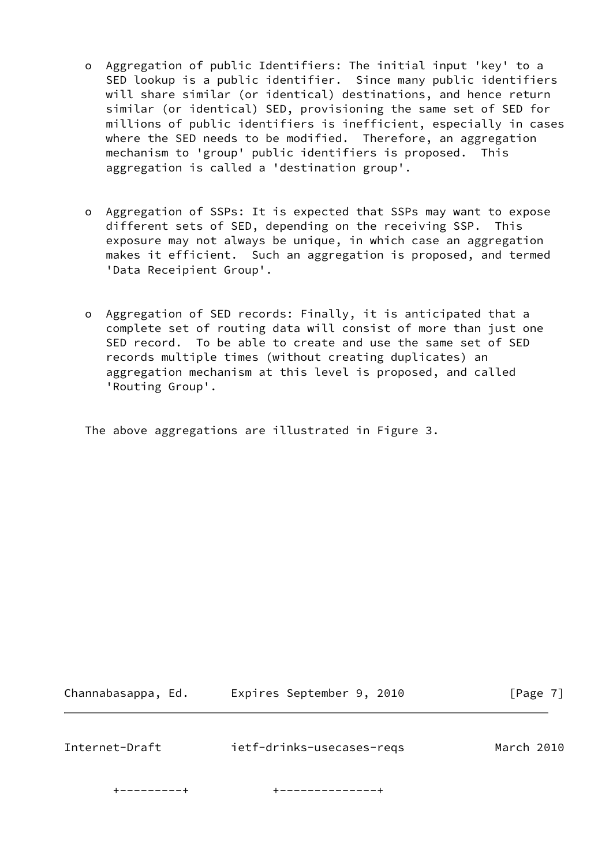- o Aggregation of public Identifiers: The initial input 'key' to a SED lookup is a public identifier. Since many public identifiers will share similar (or identical) destinations, and hence return similar (or identical) SED, provisioning the same set of SED for millions of public identifiers is inefficient, especially in cases where the SED needs to be modified. Therefore, an aggregation mechanism to 'group' public identifiers is proposed. This aggregation is called a 'destination group'.
- o Aggregation of SSPs: It is expected that SSPs may want to expose different sets of SED, depending on the receiving SSP. This exposure may not always be unique, in which case an aggregation makes it efficient. Such an aggregation is proposed, and termed 'Data Receipient Group'.
- o Aggregation of SED records: Finally, it is anticipated that a complete set of routing data will consist of more than just one SED record. To be able to create and use the same set of SED records multiple times (without creating duplicates) an aggregation mechanism at this level is proposed, and called 'Routing Group'.

The above aggregations are illustrated in Figure 3.

| Channabasappa, Ed. | Expires September 9, 2010 | [Page 7] |
|--------------------|---------------------------|----------|
|                    |                           |          |

Internet-Draft ietf-drinks-usecases-reqs March 2010

+---------+ +--------------+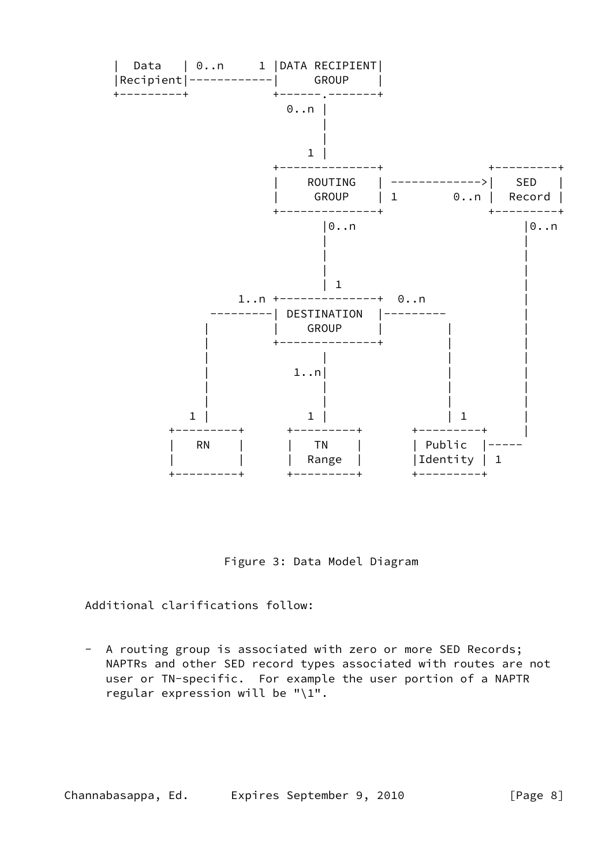

Figure 3: Data Model Diagram

Additional clarifications follow:

 - A routing group is associated with zero or more SED Records; NAPTRs and other SED record types associated with routes are not user or TN-specific. For example the user portion of a NAPTR regular expression will be "\1".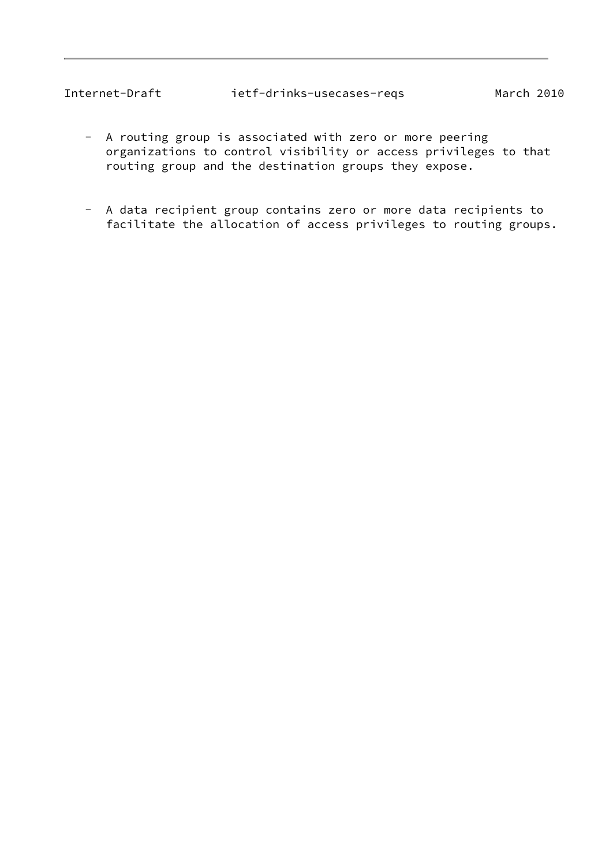# Internet-Draft ietf-drinks-usecases-reqs March 2010

- A routing group is associated with zero or more peering organizations to control visibility or access privileges to that routing group and the destination groups they expose.
- A data recipient group contains zero or more data recipients to facilitate the allocation of access privileges to routing groups.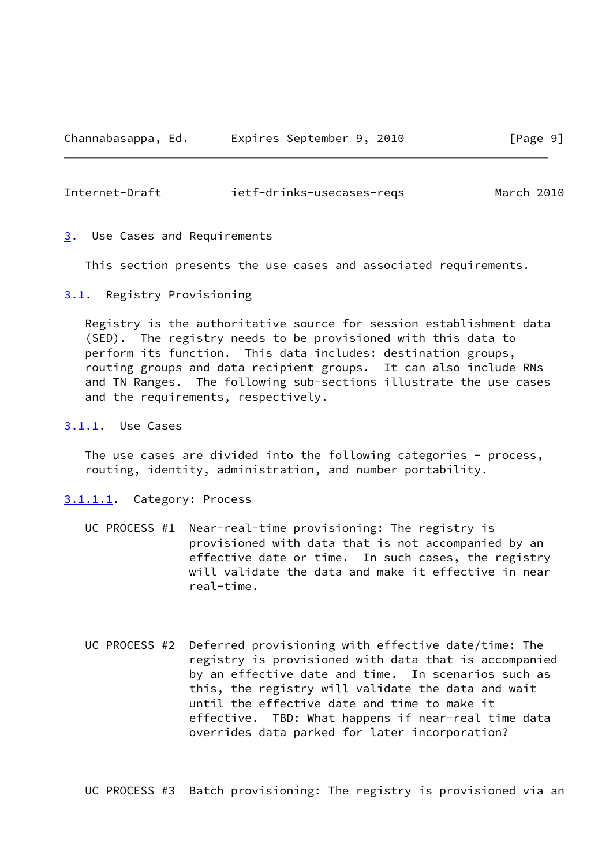#### <span id="page-10-1"></span>Internet-Draft ietf-drinks-usecases-reqs March 2010

#### <span id="page-10-0"></span>[3](#page-10-0). Use Cases and Requirements

This section presents the use cases and associated requirements.

## <span id="page-10-2"></span>[3.1](#page-10-2). Registry Provisioning

 Registry is the authoritative source for session establishment data (SED). The registry needs to be provisioned with this data to perform its function. This data includes: destination groups, routing groups and data recipient groups. It can also include RNs and TN Ranges. The following sub-sections illustrate the use cases and the requirements, respectively.

#### <span id="page-10-3"></span>[3.1.1](#page-10-3). Use Cases

 The use cases are divided into the following categories - process, routing, identity, administration, and number portability.

#### <span id="page-10-4"></span>[3.1.1.1](#page-10-4). Category: Process

- UC PROCESS #1 Near-real-time provisioning: The registry is provisioned with data that is not accompanied by an effective date or time. In such cases, the registry will validate the data and make it effective in near real-time.
- UC PROCESS #2 Deferred provisioning with effective date/time: The registry is provisioned with data that is accompanied by an effective date and time. In scenarios such as this, the registry will validate the data and wait until the effective date and time to make it effective. TBD: What happens if near-real time data overrides data parked for later incorporation?

UC PROCESS #3 Batch provisioning: The registry is provisioned via an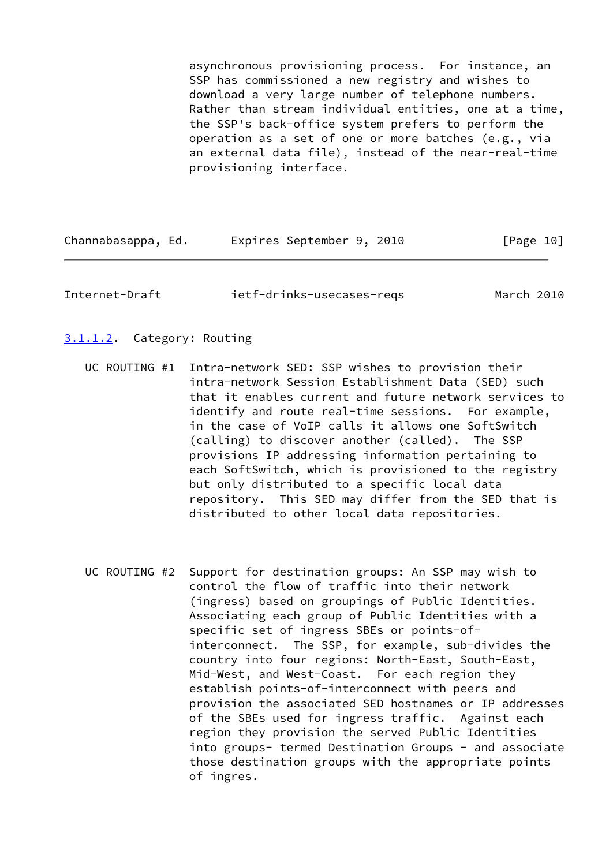asynchronous provisioning process. For instance, an SSP has commissioned a new registry and wishes to download a very large number of telephone numbers. Rather than stream individual entities, one at a time, the SSP's back-office system prefers to perform the operation as a set of one or more batches (e.g., via an external data file), instead of the near-real-time provisioning interface.

| Channabasappa, Ed. |  |  | Expires September 9, 2010 |  |  | [Page 10] |  |
|--------------------|--|--|---------------------------|--|--|-----------|--|
|--------------------|--|--|---------------------------|--|--|-----------|--|

Internet-Draft ietf-drinks-usecases-reqs March 2010

## <span id="page-11-0"></span>[3.1.1.2](#page-11-0). Category: Routing

- UC ROUTING #1 Intra-network SED: SSP wishes to provision their intra-network Session Establishment Data (SED) such that it enables current and future network services to identify and route real-time sessions. For example, in the case of VoIP calls it allows one SoftSwitch (calling) to discover another (called). The SSP provisions IP addressing information pertaining to each SoftSwitch, which is provisioned to the registry but only distributed to a specific local data repository. This SED may differ from the SED that is distributed to other local data repositories.
- UC ROUTING #2 Support for destination groups: An SSP may wish to control the flow of traffic into their network (ingress) based on groupings of Public Identities. Associating each group of Public Identities with a specific set of ingress SBEs or points-of interconnect. The SSP, for example, sub-divides the country into four regions: North-East, South-East, Mid-West, and West-Coast. For each region they establish points-of-interconnect with peers and provision the associated SED hostnames or IP addresses of the SBEs used for ingress traffic. Against each region they provision the served Public Identities into groups- termed Destination Groups - and associate those destination groups with the appropriate points of ingres.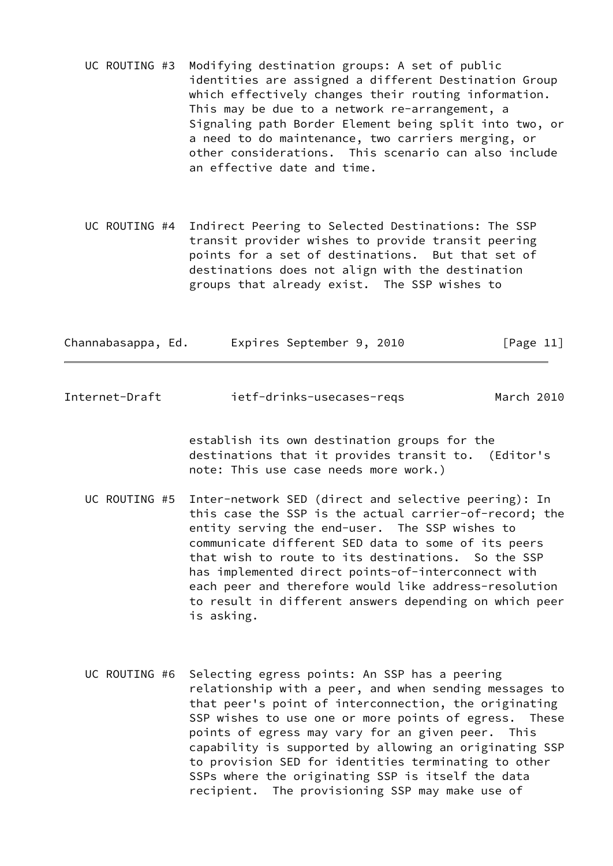- UC ROUTING #3 Modifying destination groups: A set of public identities are assigned a different Destination Group which effectively changes their routing information. This may be due to a network re-arrangement, a Signaling path Border Element being split into two, or a need to do maintenance, two carriers merging, or other considerations. This scenario can also include an effective date and time.
- UC ROUTING #4 Indirect Peering to Selected Destinations: The SSP transit provider wishes to provide transit peering points for a set of destinations. But that set of destinations does not align with the destination groups that already exist. The SSP wishes to

| Channabasappa, Ed. |  |  | Expires September 9, 2010 |  |  | [Page 11] |  |
|--------------------|--|--|---------------------------|--|--|-----------|--|
|--------------------|--|--|---------------------------|--|--|-----------|--|

Internet-Draft ietf-drinks-usecases-reqs March 2010

 establish its own destination groups for the destinations that it provides transit to. (Editor's note: This use case needs more work.)

- UC ROUTING #5 Inter-network SED (direct and selective peering): In this case the SSP is the actual carrier-of-record; the entity serving the end-user. The SSP wishes to communicate different SED data to some of its peers that wish to route to its destinations. So the SSP has implemented direct points-of-interconnect with each peer and therefore would like address-resolution to result in different answers depending on which peer is asking.
- UC ROUTING #6 Selecting egress points: An SSP has a peering relationship with a peer, and when sending messages to that peer's point of interconnection, the originating SSP wishes to use one or more points of egress. These points of egress may vary for an given peer. This capability is supported by allowing an originating SSP to provision SED for identities terminating to other SSPs where the originating SSP is itself the data recipient. The provisioning SSP may make use of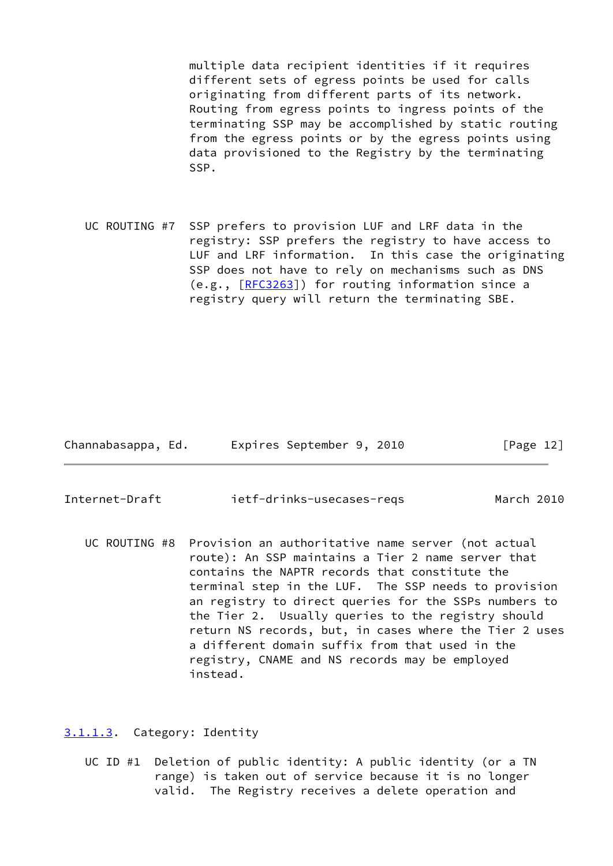multiple data recipient identities if it requires different sets of egress points be used for calls originating from different parts of its network. Routing from egress points to ingress points of the terminating SSP may be accomplished by static routing from the egress points or by the egress points using data provisioned to the Registry by the terminating SSP.

 UC ROUTING #7 SSP prefers to provision LUF and LRF data in the registry: SSP prefers the registry to have access to LUF and LRF information. In this case the originating SSP does not have to rely on mechanisms such as DNS (e.g., [[RFC3263](https://datatracker.ietf.org/doc/pdf/rfc3263)]) for routing information since a registry query will return the terminating SBE.

| Channabasappa, Ed. |  |  | Expires September 9, 2010 |  |  | [Page 12] |  |
|--------------------|--|--|---------------------------|--|--|-----------|--|
|--------------------|--|--|---------------------------|--|--|-----------|--|

Internet-Draft ietf-drinks-usecases-reqs March 2010

 UC ROUTING #8 Provision an authoritative name server (not actual route): An SSP maintains a Tier 2 name server that contains the NAPTR records that constitute the terminal step in the LUF. The SSP needs to provision an registry to direct queries for the SSPs numbers to the Tier 2. Usually queries to the registry should return NS records, but, in cases where the Tier 2 uses a different domain suffix from that used in the registry, CNAME and NS records may be employed instead.

<span id="page-13-0"></span>[3.1.1.3](#page-13-0). Category: Identity

 UC ID #1 Deletion of public identity: A public identity (or a TN range) is taken out of service because it is no longer valid. The Registry receives a delete operation and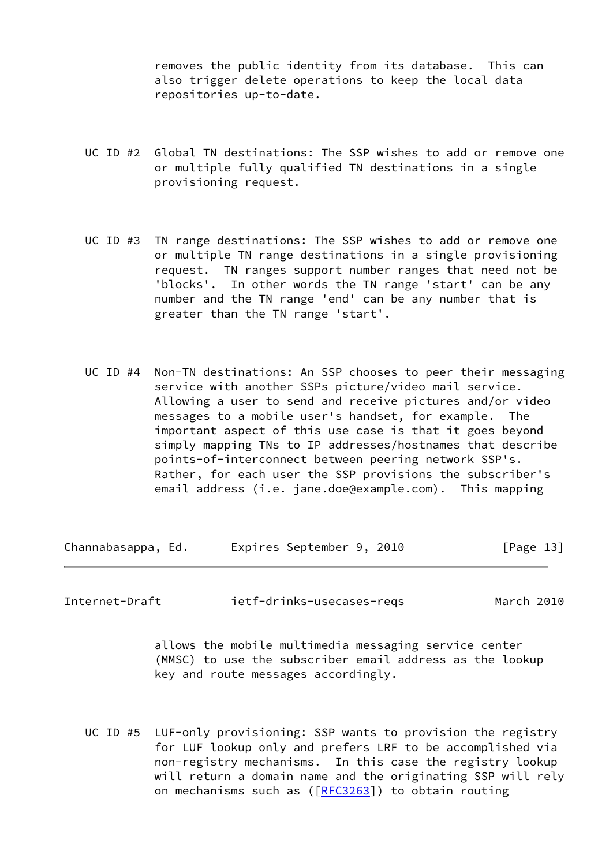removes the public identity from its database. This can also trigger delete operations to keep the local data repositories up-to-date.

- UC ID #2 Global TN destinations: The SSP wishes to add or remove one or multiple fully qualified TN destinations in a single provisioning request.
- UC ID #3 TN range destinations: The SSP wishes to add or remove one or multiple TN range destinations in a single provisioning request. TN ranges support number ranges that need not be 'blocks'. In other words the TN range 'start' can be any number and the TN range 'end' can be any number that is greater than the TN range 'start'.
- UC ID #4 Non-TN destinations: An SSP chooses to peer their messaging service with another SSPs picture/video mail service. Allowing a user to send and receive pictures and/or video messages to a mobile user's handset, for example. The important aspect of this use case is that it goes beyond simply mapping TNs to IP addresses/hostnames that describe points-of-interconnect between peering network SSP's. Rather, for each user the SSP provisions the subscriber's email address (i.e. jane.doe@example.com). This mapping

Channabasappa, Ed. Expires September 9, 2010 [Page 13]

Internet-Draft ietf-drinks-usecases-reqs March 2010

 allows the mobile multimedia messaging service center (MMSC) to use the subscriber email address as the lookup key and route messages accordingly.

 UC ID #5 LUF-only provisioning: SSP wants to provision the registry for LUF lookup only and prefers LRF to be accomplished via non-registry mechanisms. In this case the registry lookup will return a domain name and the originating SSP will rely on mechanisms such as  $(\text{[RFC3263]})$  $(\text{[RFC3263]})$  $(\text{[RFC3263]})$  to obtain routing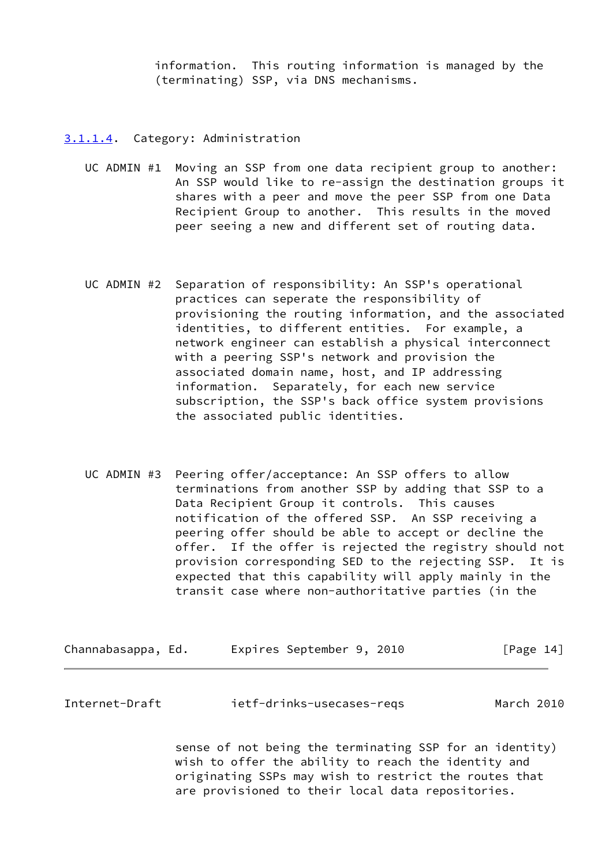information. This routing information is managed by the (terminating) SSP, via DNS mechanisms.

<span id="page-15-1"></span>[3.1.1.4](#page-15-1). Category: Administration

- UC ADMIN #1 Moving an SSP from one data recipient group to another: An SSP would like to re-assign the destination groups it shares with a peer and move the peer SSP from one Data Recipient Group to another. This results in the moved peer seeing a new and different set of routing data.
- UC ADMIN #2 Separation of responsibility: An SSP's operational practices can seperate the responsibility of provisioning the routing information, and the associated identities, to different entities. For example, a network engineer can establish a physical interconnect with a peering SSP's network and provision the associated domain name, host, and IP addressing information. Separately, for each new service subscription, the SSP's back office system provisions the associated public identities.
- UC ADMIN #3 Peering offer/acceptance: An SSP offers to allow terminations from another SSP by adding that SSP to a Data Recipient Group it controls. This causes notification of the offered SSP. An SSP receiving a peering offer should be able to accept or decline the offer. If the offer is rejected the registry should not provision corresponding SED to the rejecting SSP. It is expected that this capability will apply mainly in the transit case where non-authoritative parties (in the

| Channabasappa, Ed. |  | Expires September 9, 2010 |  | [Page 14] |  |
|--------------------|--|---------------------------|--|-----------|--|
|                    |  |                           |  |           |  |

<span id="page-15-0"></span>

| Internet-Draft | ietf-drinks-usecases-regs | March 2010 |
|----------------|---------------------------|------------|
|----------------|---------------------------|------------|

 sense of not being the terminating SSP for an identity) wish to offer the ability to reach the identity and originating SSPs may wish to restrict the routes that are provisioned to their local data repositories.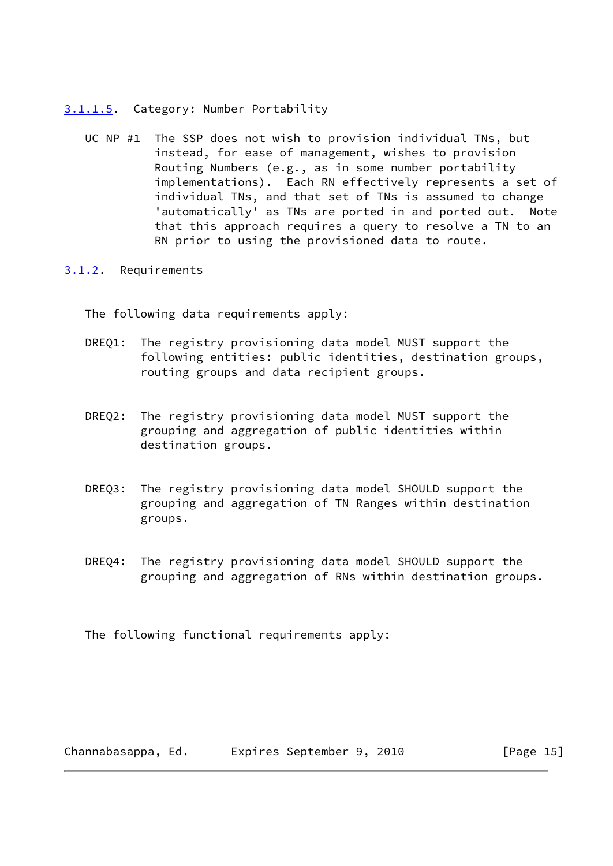- <span id="page-16-1"></span>[3.1.1.5](#page-16-1). Category: Number Portability
	- UC NP #1 The SSP does not wish to provision individual TNs, but instead, for ease of management, wishes to provision Routing Numbers (e.g., as in some number portability implementations). Each RN effectively represents a set of individual TNs, and that set of TNs is assumed to change 'automatically' as TNs are ported in and ported out. Note that this approach requires a query to resolve a TN to an RN prior to using the provisioned data to route.
- <span id="page-16-0"></span>[3.1.2](#page-16-0). Requirements

The following data requirements apply:

- DREQ1: The registry provisioning data model MUST support the following entities: public identities, destination groups, routing groups and data recipient groups.
- DREQ2: The registry provisioning data model MUST support the grouping and aggregation of public identities within destination groups.
- DREQ3: The registry provisioning data model SHOULD support the grouping and aggregation of TN Ranges within destination groups.
- DREQ4: The registry provisioning data model SHOULD support the grouping and aggregation of RNs within destination groups.

The following functional requirements apply:

Channabasappa, Ed. Expires September 9, 2010 [Page 15]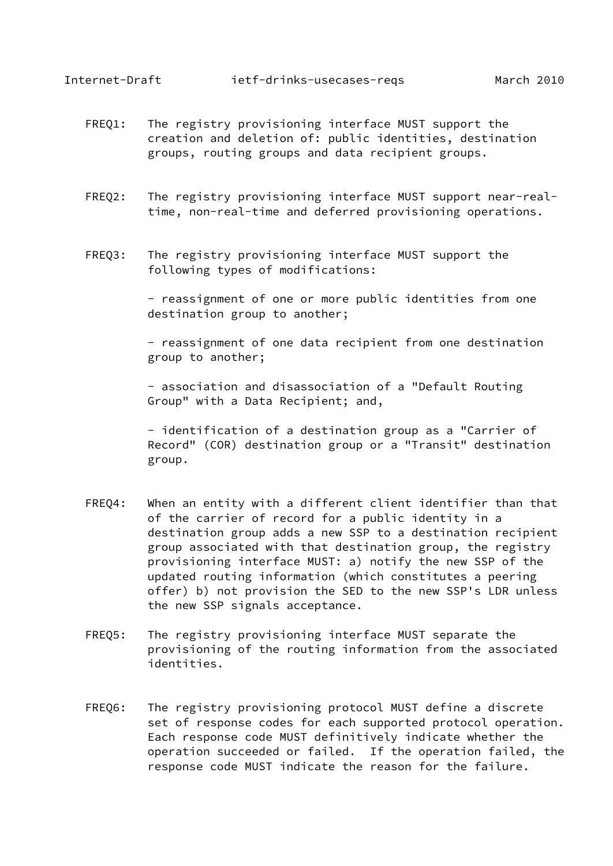- FREQ1: The registry provisioning interface MUST support the creation and deletion of: public identities, destination groups, routing groups and data recipient groups.
- FREQ2: The registry provisioning interface MUST support near-real time, non-real-time and deferred provisioning operations.
- FREQ3: The registry provisioning interface MUST support the following types of modifications:

 - reassignment of one or more public identities from one destination group to another;

 - reassignment of one data recipient from one destination group to another;

 - association and disassociation of a "Default Routing Group" with a Data Recipient; and,

 - identification of a destination group as a "Carrier of Record" (COR) destination group or a "Transit" destination group.

- FREQ4: When an entity with a different client identifier than that of the carrier of record for a public identity in a destination group adds a new SSP to a destination recipient group associated with that destination group, the registry provisioning interface MUST: a) notify the new SSP of the updated routing information (which constitutes a peering offer) b) not provision the SED to the new SSP's LDR unless the new SSP signals acceptance.
- FREQ5: The registry provisioning interface MUST separate the provisioning of the routing information from the associated identities.
- FREQ6: The registry provisioning protocol MUST define a discrete set of response codes for each supported protocol operation. Each response code MUST definitively indicate whether the operation succeeded or failed. If the operation failed, the response code MUST indicate the reason for the failure.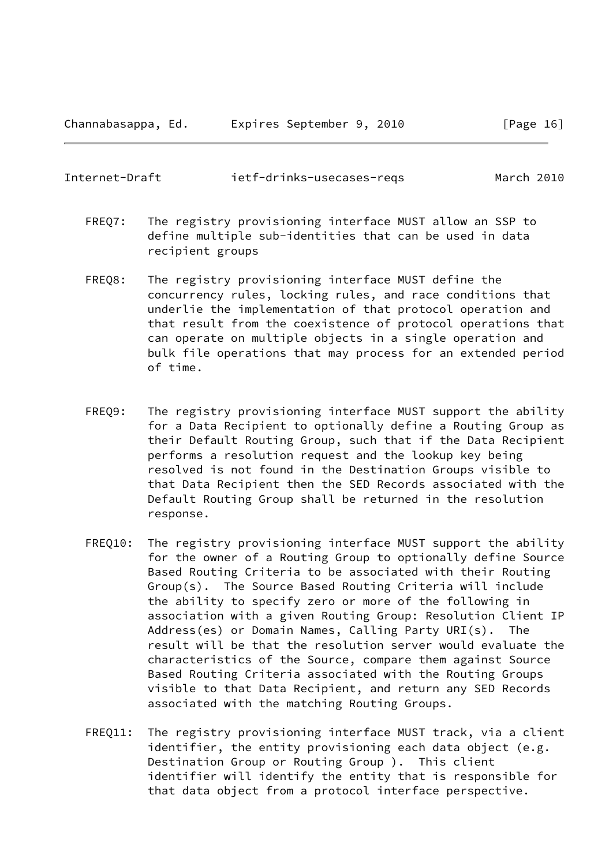Channabasappa, Ed. Expires September 9, 2010 [Page 16]

| Internet-Draft | ietf-drinks-usecases-regs | March 2010 |
|----------------|---------------------------|------------|
|                |                           |            |

- FREQ7: The registry provisioning interface MUST allow an SSP to define multiple sub-identities that can be used in data recipient groups
- FREQ8: The registry provisioning interface MUST define the concurrency rules, locking rules, and race conditions that underlie the implementation of that protocol operation and that result from the coexistence of protocol operations that can operate on multiple objects in a single operation and bulk file operations that may process for an extended period of time.
- FREQ9: The registry provisioning interface MUST support the ability for a Data Recipient to optionally define a Routing Group as their Default Routing Group, such that if the Data Recipient performs a resolution request and the lookup key being resolved is not found in the Destination Groups visible to that Data Recipient then the SED Records associated with the Default Routing Group shall be returned in the resolution response.
- FREQ10: The registry provisioning interface MUST support the ability for the owner of a Routing Group to optionally define Source Based Routing Criteria to be associated with their Routing Group(s). The Source Based Routing Criteria will include the ability to specify zero or more of the following in association with a given Routing Group: Resolution Client IP Address(es) or Domain Names, Calling Party URI(s). The result will be that the resolution server would evaluate the characteristics of the Source, compare them against Source Based Routing Criteria associated with the Routing Groups visible to that Data Recipient, and return any SED Records associated with the matching Routing Groups.
- FREQ11: The registry provisioning interface MUST track, via a client identifier, the entity provisioning each data object (e.g. Destination Group or Routing Group ). This client identifier will identify the entity that is responsible for that data object from a protocol interface perspective.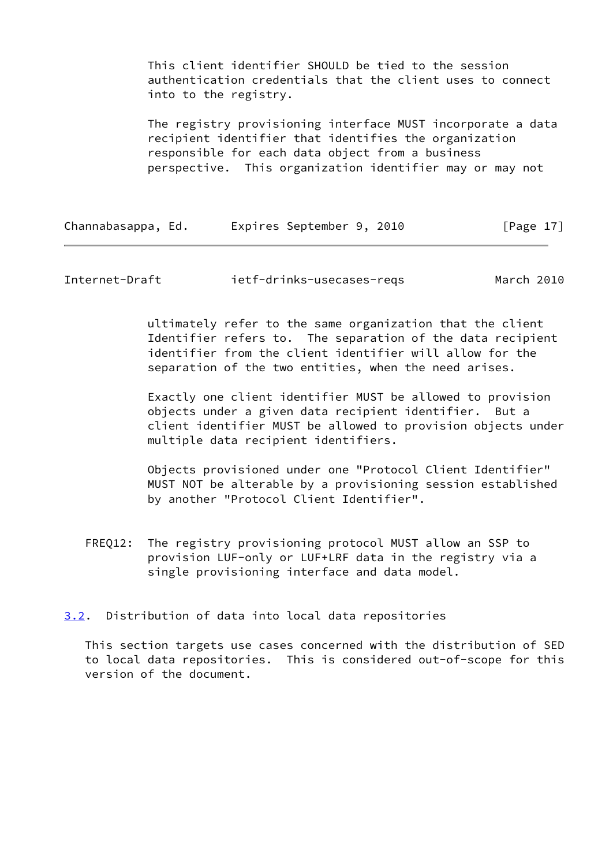This client identifier SHOULD be tied to the session authentication credentials that the client uses to connect into to the registry.

 The registry provisioning interface MUST incorporate a data recipient identifier that identifies the organization responsible for each data object from a business perspective. This organization identifier may or may not

| Channabasappa, Ed. | Expires September 9, 2010 | [Page 17] |
|--------------------|---------------------------|-----------|
|--------------------|---------------------------|-----------|

<span id="page-19-1"></span>Internet-Draft ietf-drinks-usecases-reqs March 2010

 ultimately refer to the same organization that the client Identifier refers to. The separation of the data recipient identifier from the client identifier will allow for the separation of the two entities, when the need arises.

 Exactly one client identifier MUST be allowed to provision objects under a given data recipient identifier. But a client identifier MUST be allowed to provision objects under multiple data recipient identifiers.

 Objects provisioned under one "Protocol Client Identifier" MUST NOT be alterable by a provisioning session established by another "Protocol Client Identifier".

- FREQ12: The registry provisioning protocol MUST allow an SSP to provision LUF-only or LUF+LRF data in the registry via a single provisioning interface and data model.
- <span id="page-19-0"></span>[3.2](#page-19-0). Distribution of data into local data repositories

 This section targets use cases concerned with the distribution of SED to local data repositories. This is considered out-of-scope for this version of the document.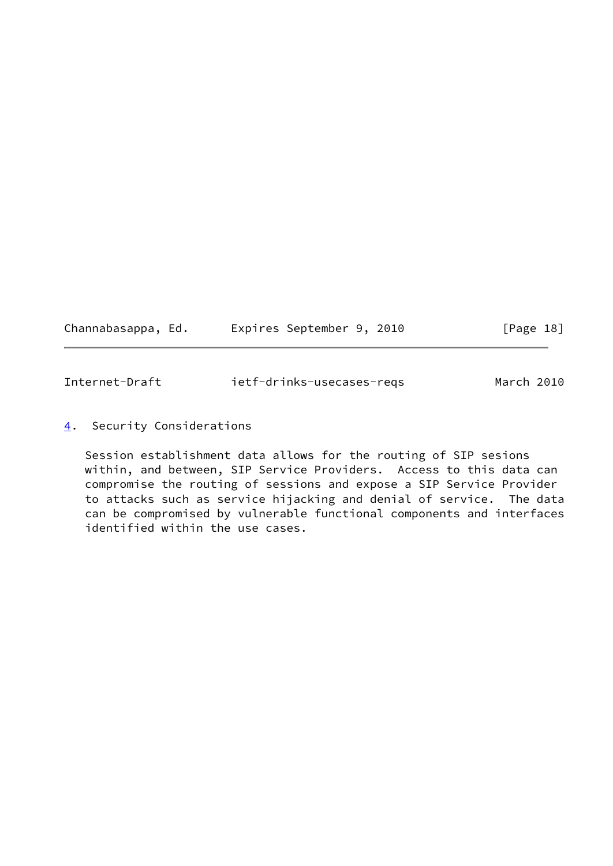| Channabasappa, Ed. |  | Expires September 9, 2010 |  | [Page 18] |  |
|--------------------|--|---------------------------|--|-----------|--|
|                    |  |                           |  |           |  |

<span id="page-20-1"></span>

|  | Internet-Draft | ietf-drinks-usecases-regs | March 2010 |
|--|----------------|---------------------------|------------|
|--|----------------|---------------------------|------------|

<span id="page-20-0"></span>[4](#page-20-0). Security Considerations

 Session establishment data allows for the routing of SIP sesions within, and between, SIP Service Providers. Access to this data can compromise the routing of sessions and expose a SIP Service Provider to attacks such as service hijacking and denial of service. The data can be compromised by vulnerable functional components and interfaces identified within the use cases.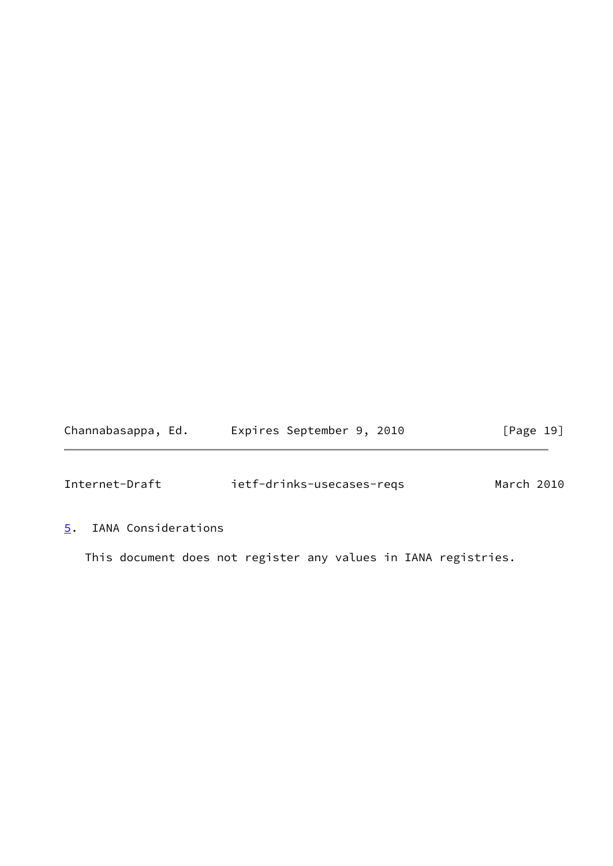| Channabasappa, Ed. |  | Expires September 9, 2010 |  | [Page 19] |  |
|--------------------|--|---------------------------|--|-----------|--|
|                    |  |                           |  |           |  |

<span id="page-21-1"></span>Internet-Draft ietf-drinks-usecases-reqs March 2010

# <span id="page-21-0"></span>[5](#page-21-0). IANA Considerations

This document does not register any values in IANA registries.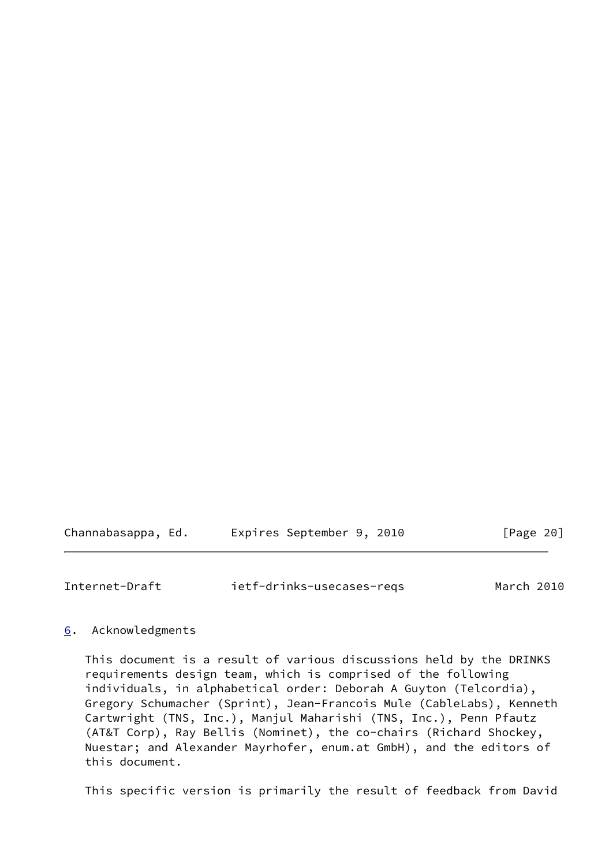| Channabasappa, Ed. |  | Expires September 9, 2010 |  | [Page 20] |
|--------------------|--|---------------------------|--|-----------|
|                    |  |                           |  |           |

<span id="page-22-1"></span>Internet-Draft ietf-drinks-usecases-reqs March 2010

## <span id="page-22-0"></span>[6](#page-22-0). Acknowledgments

 This document is a result of various discussions held by the DRINKS requirements design team, which is comprised of the following individuals, in alphabetical order: Deborah A Guyton (Telcordia), Gregory Schumacher (Sprint), Jean-Francois Mule (CableLabs), Kenneth Cartwright (TNS, Inc.), Manjul Maharishi (TNS, Inc.), Penn Pfautz (AT&T Corp), Ray Bellis (Nominet), the co-chairs (Richard Shockey, Nuestar; and Alexander Mayrhofer, enum.at GmbH), and the editors of this document.

This specific version is primarily the result of feedback from David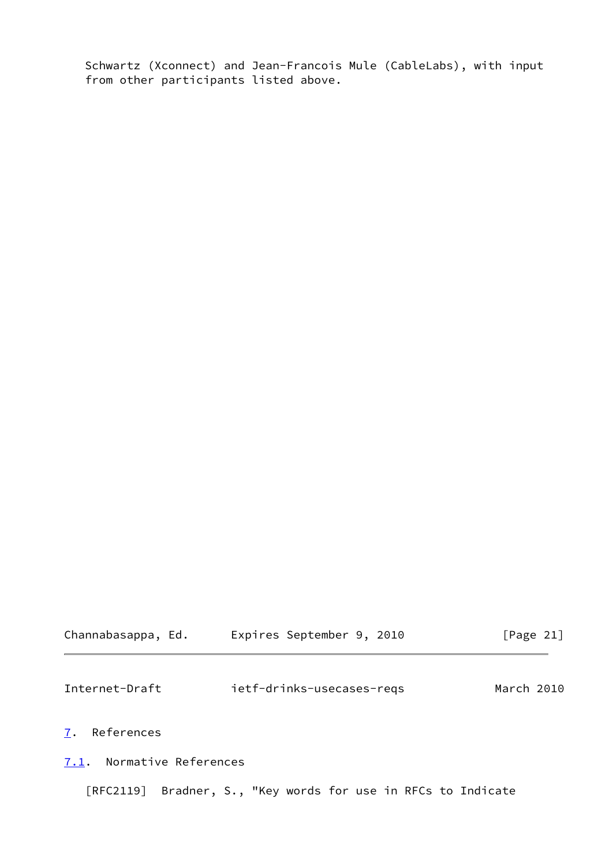Schwartz (Xconnect) and Jean-Francois Mule (CableLabs), with input from other participants listed above.

<span id="page-23-2"></span><span id="page-23-1"></span><span id="page-23-0"></span>

| Channabasappa, Ed.               | Expires September 9, 2010                           | [Page 21]  |
|----------------------------------|-----------------------------------------------------|------------|
| Internet-Draft                   | ietf-drinks-usecases-regs                           | March 2010 |
| References<br>7.                 |                                                     |            |
| Normative References<br>7.1.     |                                                     |            |
| $\lceil \mathsf{RFC2119} \rceil$ | Bradner, S., "Key words for use in RFCs to Indicate |            |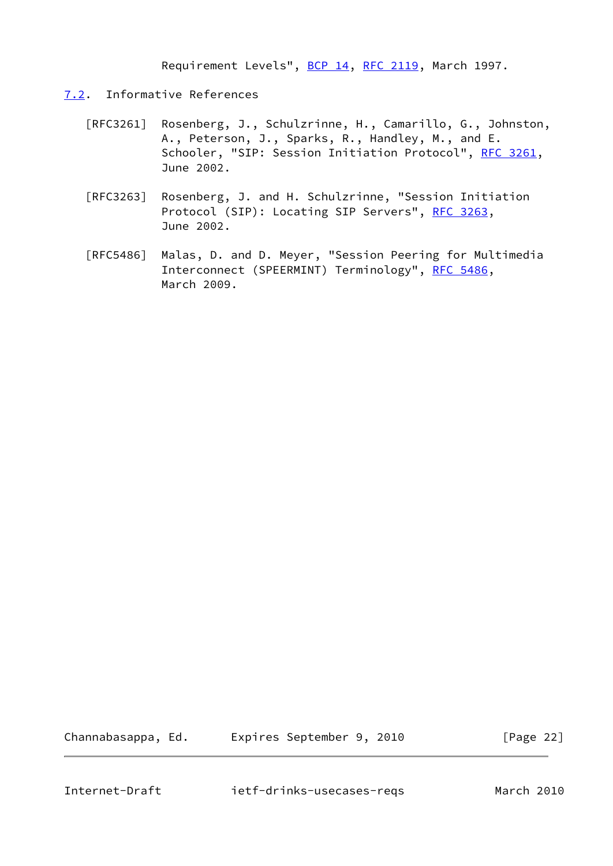Requirement Levels", [BCP 14](https://datatracker.ietf.org/doc/pdf/bcp14), [RFC 2119](https://datatracker.ietf.org/doc/pdf/rfc2119), March 1997.

- <span id="page-24-0"></span>[7.2](#page-24-0). Informative References
	- [RFC3261] Rosenberg, J., Schulzrinne, H., Camarillo, G., Johnston, A., Peterson, J., Sparks, R., Handley, M., and E. Schooler, "SIP: Session Initiation Protocol", [RFC 3261](https://datatracker.ietf.org/doc/pdf/rfc3261), June 2002.
	- [RFC3263] Rosenberg, J. and H. Schulzrinne, "Session Initiation Protocol (SIP): Locating SIP Servers", [RFC 3263](https://datatracker.ietf.org/doc/pdf/rfc3263), June 2002.
	- [RFC5486] Malas, D. and D. Meyer, "Session Peering for Multimedia Interconnect (SPEERMINT) Terminology", [RFC 5486](https://datatracker.ietf.org/doc/pdf/rfc5486), March 2009.

Channabasappa, Ed. Expires September 9, 2010 [Page 22]

<span id="page-24-1"></span>